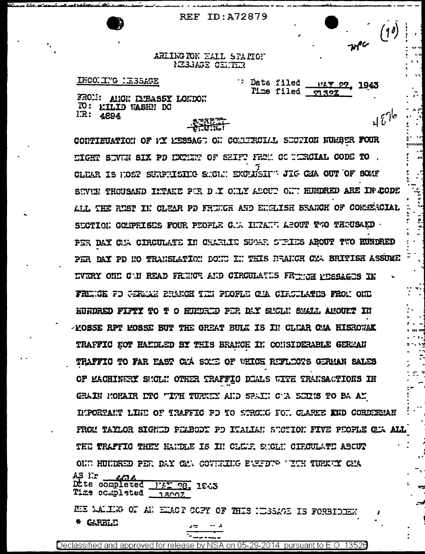**REF ID: A72879** 

 $4676$ 

## ARLING TON HALL STATION MESSAGE CINTER

INCOLING LESSAGE

<sup>2</sup> Date filed **FLY 27, 1943** Time filed m 32Z

FROM: ANGN DIBASSY LONDON TO: EILID WASHE DO  $IR: 4894$ 

CONTIEGATION OF PY RESSAGE ON COMMITECTAL SECTION NURBER FOUR SIGHT SEVEN SIX PD EXERET OF SHIFT FROM CO RERCIAL CODE TO . CLEAR IS HOST SURPRISHE SHOWN EXCLUSIVE JIG CAA OUT OF SOME SEVEN THOUSAND INTAKE PER D . Y ONLY ABOUT ONT HUNDRED ARE IN CODE ALL THE RUST IN CLEAR PD FRUNCH AND ENGLISH BRANCH OF COMMERCIAL SECTION COMPRISES FOUR PEOPLE C.A INTAIN ABOUT TWO THOUSARD . PER DAY CHA CIRCULATE IN CHARLIE SUGAR STRIES ABOUT TWO RUNDRED PER DAY PD NO TRANSLATION DONE IN THIS DRANCH CMA BRITISH ASSUME **IVERY ONI C'H READ FRIKE AND CIRGUIATIS FRINGE FRESAGIS IN** FRINGE FD GERMAN BRANCH TIN PHOPLE CHA CIRCULATES FROM ONE HUNDRED FIFTY TO T O HUNDRED POR DAY SMCLN SMALL AMOUNT IN -KOSSE RPT KOSSE BUT THE GREAT BULK IS IN CLEAR CAA HISROWAK TRAFFIC KOT HAMDLED BY THIS BRANCE IN CONSIDERABLE GEREAN TRAFFIC TO FAR EAST CAA SOME OF WHICE REFLECTS GERMAN SALES OF MACHINERY SHOLN OTHER TRAFFIC DIALS WITH TRANSACTIONS IN GRAIN MOHAIR DTC "ITH TURKEY AND SPAIN C'A SEINS TO BA AN IMPORTANT LINE OF TRAFFIC PD TO STRONG FOR CLARKE KND CORDIRMAN FROM TAYLOR SIGNED PEABODY PD ITALIAN SECTION FIVE PEOPLE CHAALL THE TRAFFIC THEY HANDLE IS IN CLEAF SHOLN CIRCULATE ABOUT ONE HUNDRED PER DAY CAN COVERING ENFERTS "ITH TURKEY CHA AS I.r <u>LL 1.</u> Dtte completed  $1:2.95$   $-29.15.3$ Time completed  $7.8007$ 

HE LALING OF AN ENACT COPY OF THIS NEGRAGE IS FORBIDENT

\* GARBLE

Declassified and approved for release by NSA on 05-29-2014 pursuant to E.O. 13526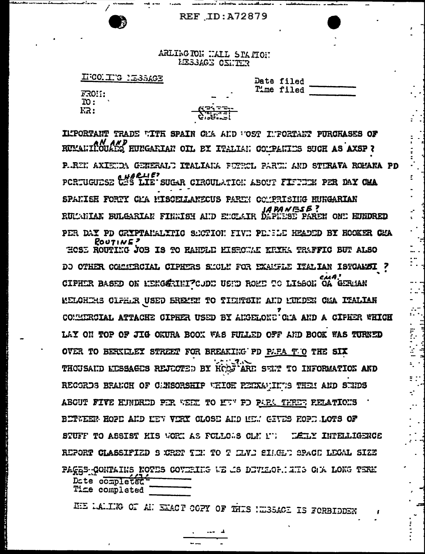## **REF ID: A72879**



ARLING TON WALL STATION **EESSAGE CENTER** 

IFCONITYG MESSAGE

| FR0!!: |  |
|--------|--|
| TO :   |  |
| FR:    |  |

| <b>Date filed</b> |  |
|-------------------|--|
| Mme filed         |  |

ILPORTANT TRADE WITH SPAIN CMA AND WOST INFORTANT PURCHASES OF RUMALIINOUADE RUNGARIAN OIL BY ITALIAN COMPANIES SUCH AS AXSP ? P.REN AXIENDA GENERALU ITALIANA PETROL PARTN AND STIRAVA ROMANA PD PCRTUGUESE CES LIE SUGAR CIRCULATION ABOUT FIFTEEN PER DAY CMA SPANISE FORTY CMA MISCELLANECUS PARTN COMPRISING HUNGARIAN JAPANESE ?<br>RULCHIAK BULGARIAN FINNISH AND ENCLAIR DARNEN PAREN ONE HUNDRED PER DAY PD CRYPTANALYTIC SECTION FIVE PERSIE HEADED BY HOOKER CEA  $ROUI1WE$ <sup>2</sup> HOSE ROUTING JOB IS TO RANDLE RISPONAL KRIKK TRAFFIC BUT ALSO DO OTHER COMMIRCIAL CIPHERS SMOLN FOR EXAMPLE ITALIAN ISTOAMSI ? CIPHER BASED ON MENGGRINI CODE USID ROME TO LISBON OA GERMAN MELCHIRS CLFHAR USED BREMEN TO TIDNTSIN AND MULDEN CHA ITALIAN CONNERCIAL ATTACHE CIPHER USED BY ANGELOND CAR AND A CIPHER WHICH LAY ON TOP OF JIG OKURA BOOK WAS FULLED OFF AND BOOK WAS TURNED OVER TO BERKELEY STREET FOR BREAKING PD PAPA THO THE SIX THOUSAID LESSAGES REJECTED BY HOOJ ARE SENT TO INFORMATION AND RECORDS BRANCH OF CUNSORSHIP WHICH REDXAMINING THEM AND SURDS ABOUT FIVE HUNDRED PER WEET TO HUN PO PARA THREE RELATIONS BETWEEN HOPE AND MEV VERY CLOSE AND MEM GEVES FORE LOTS OF STUFF TO ASSIST HIS WORK AS FOLLOWS CLM IT TELLY INTELLIGENCE REPORT CLASSIFIED S CRET TEN TO T ELVE SILCLE SPACE LEGAL SIZE PAGES CONTAINS NOTES COVERIES WE AS DEVILORMENTS ON LONG TERM Date completed Time completed

HE LALING OF AT EXACT COPY OF THIS INSSACE IS FORBIDDEN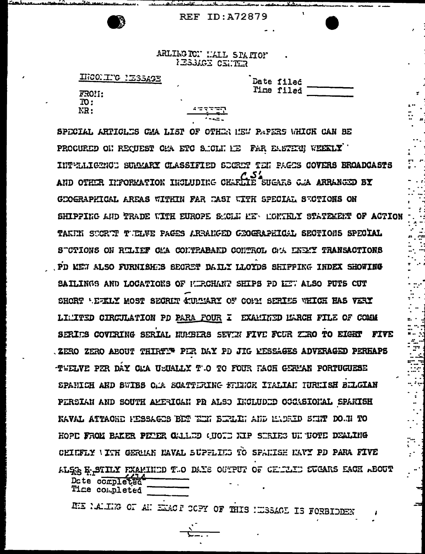## **REF ID:A72879**



ARLIKG TC! HALL STATION **IESSAGE CENTER** 

| HEORIE SESSAGE |  |
|----------------|--|
|----------------|--|

|                   | FR0!1: |  |
|-------------------|--------|--|
| $\overline{10}$ : |        |  |
| NR :              |        |  |

Date fileč Time filed

سرديد

والمشكر والمستو

SPECIAL ARTICLES CAA LIST OF OTHER MEW PAPERS WHICH CAN BE PROCURED ON RECUEST CAN ETC S.ICLN HE FAR EASTERN WEEKLY INTWILIGENCE SUMMARY CLASSIFIED SECRET TEN PAGES COVERS BROADCASTS AND OTHER INFORMATION INCLUDING CHARALLE SUGARS CAA ARRANGED BY GEOGRAPHICAL AREAS WITHIN FAR EAST WITH SPECIAL SUCTIONS ON SHIPPING AND TRADE WITH EUROPE SMOLE HE MONTHLY STATEMENT OF ACTION TAKEN SECRET TELVE PAGES ARRANGED GEOGRAPHICAL SECTIONS SPECIAL STOTIONS ON RULLEF CHA COMTRABAND COMTROL CHA LNEXY TRANSACTIONS PD KEW ALSO FURNISHES SECRET DAILY LLOYDS SHIFFING INDEX SHOWING SAILINGS AND LOCATIONS OF MIRCHANT SHIPS PD LET ALSO PUTS CUT SHORT 'EZKLY MOST SECRET CULLARY OF COMM SERIES WHICH HAS VERY LIMITED CIRCULATION PD PARA FOUR I EXAMITED MARCH FILE OF COMM SERIES COVERING SERIAL NUMBERS SEVEN FIVE FOUR ZERO TO EIGHT FIVE .ZERO ZERO ABOUT THIRTI PER DAY PD JIG KESSAGES ADVERAGED PERHAPS TWELVE PER DAY CMA USUALLY T'.0 TO FOUR FACH GERMAN PORTUGUESE SPANICH AND SWIES OMA SCATTERING FRENCH ITALIAN IURUISH BELGIAN PERSIAN AND SOUTH AMERICAN PD ALSO INCLUDED CCCASIONAL SPAKISH NAVAL ATTACHE PESSAGES BET EIN BIRLE: AND EADRID SINT DO.N TO HOPE FROM BAKER PETER CALLED (UOID NIP SERIES UN TOTE DEALING CHICFLY VITH GERUAN NAVAL SUPFLIES TO SPAKISH KAVY PD PARA FIVE ALSE E-SIILY FEAMINDD T.O DAYS OUTPUT OF CELLLID SUGARS EACH ABOUT Date completed Time completed

ME NAMING OF AN ENACT COPY OF THIS NESSAGE IS FORBIDDEN